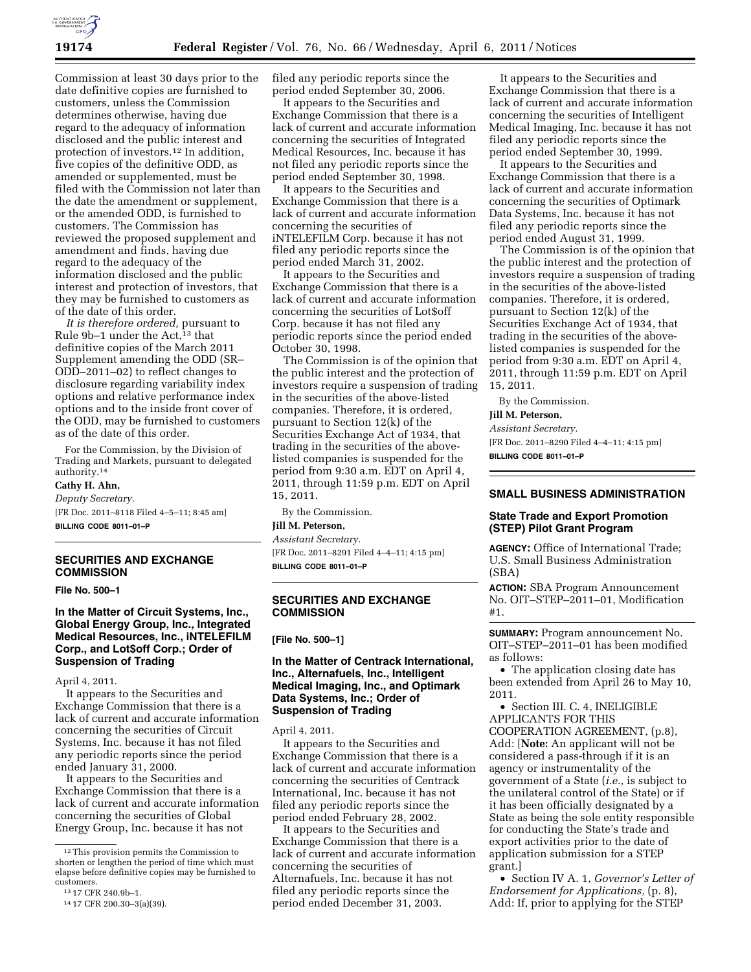

Commission at least 30 days prior to the date definitive copies are furnished to customers, unless the Commission determines otherwise, having due regard to the adequacy of information disclosed and the public interest and protection of investors.12 In addition, five copies of the definitive ODD, as amended or supplemented, must be filed with the Commission not later than the date the amendment or supplement, or the amended ODD, is furnished to customers. The Commission has reviewed the proposed supplement and amendment and finds, having due regard to the adequacy of the information disclosed and the public interest and protection of investors, that they may be furnished to customers as of the date of this order.

*It is therefore ordered,* pursuant to Rule 9b-1 under the Act,<sup>13</sup> that definitive copies of the March 2011 Supplement amending the ODD (SR– ODD–2011–02) to reflect changes to disclosure regarding variability index options and relative performance index options and to the inside front cover of the ODD, may be furnished to customers as of the date of this order.

For the Commission, by the Division of Trading and Markets, pursuant to delegated authority.14

## **Cathy H. Ahn,**

*Deputy Secretary.*  [FR Doc. 2011–8118 Filed 4–5–11; 8:45 am] **BILLING CODE 8011–01–P** 

## **SECURITIES AND EXCHANGE COMMISSION**

**File No. 500–1** 

## **In the Matter of Circuit Systems, Inc., Global Energy Group, Inc., Integrated Medical Resources, Inc., iNTELEFILM Corp., and Lot\$off Corp.; Order of Suspension of Trading**

April 4, 2011.

It appears to the Securities and Exchange Commission that there is a lack of current and accurate information concerning the securities of Circuit Systems, Inc. because it has not filed any periodic reports since the period ended January 31, 2000.

It appears to the Securities and Exchange Commission that there is a lack of current and accurate information concerning the securities of Global Energy Group, Inc. because it has not

filed any periodic reports since the period ended September 30, 2006.

It appears to the Securities and Exchange Commission that there is a lack of current and accurate information concerning the securities of Integrated Medical Resources, Inc. because it has not filed any periodic reports since the period ended September 30, 1998.

It appears to the Securities and Exchange Commission that there is a lack of current and accurate information concerning the securities of iNTELEFILM Corp. because it has not filed any periodic reports since the period ended March 31, 2002.

It appears to the Securities and Exchange Commission that there is a lack of current and accurate information concerning the securities of Lot\$off Corp. because it has not filed any periodic reports since the period ended October 30, 1998.

The Commission is of the opinion that the public interest and the protection of investors require a suspension of trading in the securities of the above-listed companies. Therefore, it is ordered, pursuant to Section 12(k) of the Securities Exchange Act of 1934, that trading in the securities of the abovelisted companies is suspended for the period from 9:30 a.m. EDT on April 4, 2011, through 11:59 p.m. EDT on April 15, 2011.

By the Commission.

# **Jill M. Peterson,**

*Assistant Secretary.*  [FR Doc. 2011–8291 Filed 4–4–11; 4:15 pm]

**BILLING CODE 8011–01–P** 

## **SECURITIES AND EXCHANGE COMMISSION**

**[File No. 500–1]** 

## **In the Matter of Centrack International, Inc., Alternafuels, Inc., Intelligent Medical Imaging, Inc., and Optimark Data Systems, Inc.; Order of Suspension of Trading**

April 4, 2011.

It appears to the Securities and Exchange Commission that there is a lack of current and accurate information concerning the securities of Centrack International, Inc. because it has not filed any periodic reports since the period ended February 28, 2002.

It appears to the Securities and Exchange Commission that there is a lack of current and accurate information concerning the securities of Alternafuels, Inc. because it has not filed any periodic reports since the period ended December 31, 2003.

It appears to the Securities and Exchange Commission that there is a lack of current and accurate information concerning the securities of Intelligent Medical Imaging, Inc. because it has not filed any periodic reports since the period ended September 30, 1999.

It appears to the Securities and Exchange Commission that there is a lack of current and accurate information concerning the securities of Optimark Data Systems, Inc. because it has not filed any periodic reports since the period ended August 31, 1999.

The Commission is of the opinion that the public interest and the protection of investors require a suspension of trading in the securities of the above-listed companies. Therefore, it is ordered, pursuant to Section 12(k) of the Securities Exchange Act of 1934, that trading in the securities of the abovelisted companies is suspended for the period from 9:30 a.m. EDT on April 4, 2011, through 11:59 p.m. EDT on April 15, 2011.

By the Commission.

#### **Jill M. Peterson,**

*Assistant Secretary.* 

[FR Doc. 2011–8290 Filed 4–4–11; 4:15 pm] **BILLING CODE 8011–01–P** 

## **SMALL BUSINESS ADMINISTRATION**

#### **State Trade and Export Promotion (STEP) Pilot Grant Program**

**AGENCY:** Office of International Trade; U.S. Small Business Administration (SBA)

**ACTION:** SBA Program Announcement No. OIT–STEP–2011–01, Modification #1.

**SUMMARY:** Program announcement No. OIT–STEP–2011–01 has been modified as follows:

• The application closing date has been extended from April 26 to May 10, 2011.

• Section III. C. 4, INELIGIBLE APPLICANTS FOR THIS COOPERATION AGREEMENT, (p.8), Add: [**Note:** An applicant will not be considered a pass-through if it is an agency or instrumentality of the government of a State (*i.e.,* is subject to the unilateral control of the State) or if it has been officially designated by a State as being the sole entity responsible for conducting the State's trade and export activities prior to the date of application submission for a STEP grant.]

• Section IV A. 1, *Governor's Letter of Endorsement for Applications,* (p. 8), Add: If, prior to applying for the STEP

<sup>12</sup>This provision permits the Commission to shorten or lengthen the period of time which must elapse before definitive copies may be furnished to customers.

<sup>13</sup> 17 CFR 240.9b–1.

<sup>14</sup> 17 CFR 200.30–3(a)(39).